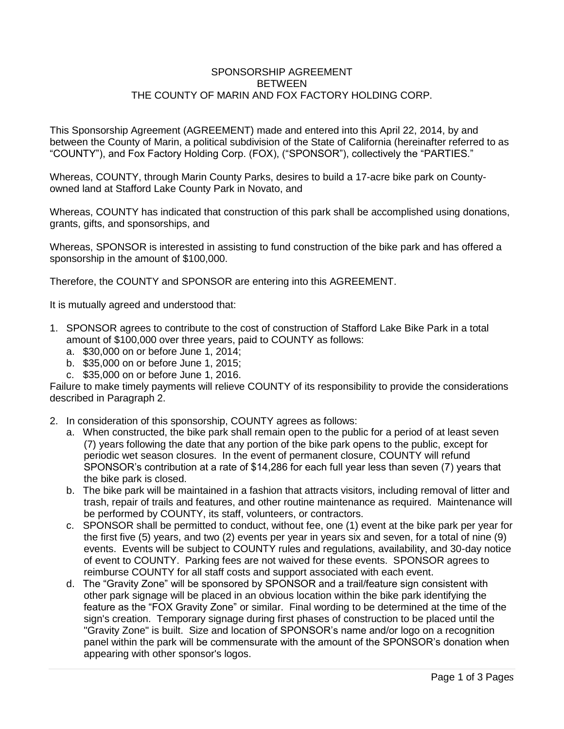## SPONSORSHIP AGREEMENT **BETWEEN** THE COUNTY OF MARIN AND FOX FACTORY HOLDING CORP.

This Sponsorship Agreement (AGREEMENT) made and entered into this April 22, 2014, by and between the County of Marin, a political subdivision of the State of California (hereinafter referred to as "COUNTY"), and Fox Factory Holding Corp. (FOX), ("SPONSOR"), collectively the "PARTIES."

Whereas, COUNTY, through Marin County Parks, desires to build a 17-acre bike park on Countyowned land at Stafford Lake County Park in Novato, and

Whereas, COUNTY has indicated that construction of this park shall be accomplished using donations, grants, gifts, and sponsorships, and

Whereas, SPONSOR is interested in assisting to fund construction of the bike park and has offered a sponsorship in the amount of \$100,000.

Therefore, the COUNTY and SPONSOR are entering into this AGREEMENT.

It is mutually agreed and understood that:

- 1. SPONSOR agrees to contribute to the cost of construction of Stafford Lake Bike Park in a total amount of \$100,000 over three years, paid to COUNTY as follows:
	- a. \$30,000 on or before June 1, 2014;
	- b. \$35,000 on or before June 1, 2015;
	- c. \$35,000 on or before June 1, 2016.

Failure to make timely payments will relieve COUNTY of its responsibility to provide the considerations described in Paragraph 2.

- 2. In consideration of this sponsorship, COUNTY agrees as follows:
	- a. When constructed, the bike park shall remain open to the public for a period of at least seven (7) years following the date that any portion of the bike park opens to the public, except for periodic wet season closures. In the event of permanent closure, COUNTY will refund SPONSOR's contribution at a rate of \$14,286 for each full year less than seven (7) years that the bike park is closed.
	- b. The bike park will be maintained in a fashion that attracts visitors, including removal of litter and trash, repair of trails and features, and other routine maintenance as required. Maintenance will be performed by COUNTY, its staff, volunteers, or contractors.
	- c. SPONSOR shall be permitted to conduct, without fee, one (1) event at the bike park per year for the first five (5) years, and two (2) events per year in years six and seven, for a total of nine (9) events. Events will be subject to COUNTY rules and regulations, availability, and 30-day notice of event to COUNTY. Parking fees are not waived for these events. SPONSOR agrees to reimburse COUNTY for all staff costs and support associated with each event.
	- d. The "Gravity Zone" will be sponsored by SPONSOR and a trail/feature sign consistent with other park signage will be placed in an obvious location within the bike park identifying the feature as the "FOX Gravity Zone" or similar. Final wording to be determined at the time of the sign's creation. Temporary signage during first phases of construction to be placed until the "Gravity Zone" is built. Size and location of SPONSOR's name and/or logo on a recognition panel within the park will be commensurate with the amount of the SPONSOR's donation when appearing with other sponsor's logos.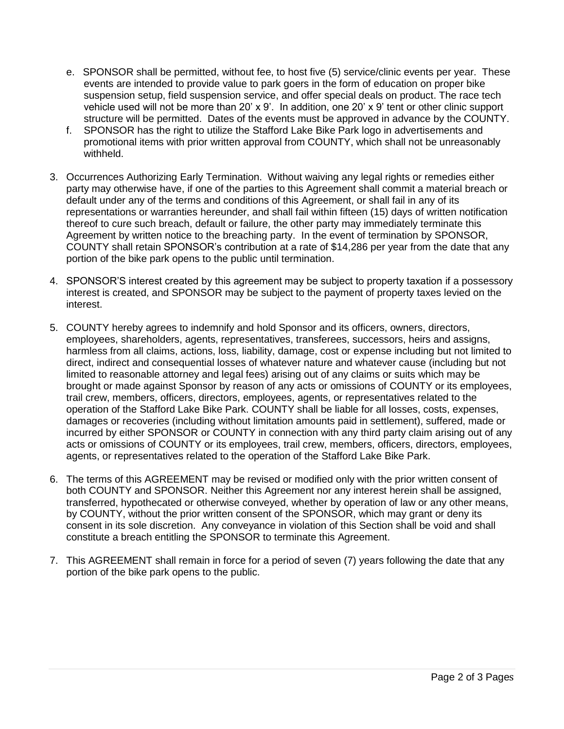- e. SPONSOR shall be permitted, without fee, to host five (5) service/clinic events per year. These events are intended to provide value to park goers in the form of education on proper bike suspension setup, field suspension service, and offer special deals on product. The race tech vehicle used will not be more than 20' x 9'. In addition, one 20' x 9' tent or other clinic support structure will be permitted. Dates of the events must be approved in advance by the COUNTY.
- f. SPONSOR has the right to utilize the Stafford Lake Bike Park logo in advertisements and promotional items with prior written approval from COUNTY, which shall not be unreasonably withheld.
- 3. Occurrences Authorizing Early Termination. Without waiving any legal rights or remedies either party may otherwise have, if one of the parties to this Agreement shall commit a material breach or default under any of the terms and conditions of this Agreement, or shall fail in any of its representations or warranties hereunder, and shall fail within fifteen (15) days of written notification thereof to cure such breach, default or failure, the other party may immediately terminate this Agreement by written notice to the breaching party. In the event of termination by SPONSOR, COUNTY shall retain SPONSOR's contribution at a rate of \$14,286 per year from the date that any portion of the bike park opens to the public until termination.
- 4. SPONSOR'S interest created by this agreement may be subject to property taxation if a possessory interest is created, and SPONSOR may be subject to the payment of property taxes levied on the interest.
- 5. COUNTY hereby agrees to indemnify and hold Sponsor and its officers, owners, directors, employees, shareholders, agents, representatives, transferees, successors, heirs and assigns, harmless from all claims, actions, loss, liability, damage, cost or expense including but not limited to direct, indirect and consequential losses of whatever nature and whatever cause (including but not limited to reasonable attorney and legal fees) arising out of any claims or suits which may be brought or made against Sponsor by reason of any acts or omissions of COUNTY or its employees, trail crew, members, officers, directors, employees, agents, or representatives related to the operation of the Stafford Lake Bike Park. COUNTY shall be liable for all losses, costs, expenses, damages or recoveries (including without limitation amounts paid in settlement), suffered, made or incurred by either SPONSOR or COUNTY in connection with any third party claim arising out of any acts or omissions of COUNTY or its employees, trail crew, members, officers, directors, employees, agents, or representatives related to the operation of the Stafford Lake Bike Park.
- 6. The terms of this AGREEMENT may be revised or modified only with the prior written consent of both COUNTY and SPONSOR. Neither this Agreement nor any interest herein shall be assigned, transferred, hypothecated or otherwise conveyed, whether by operation of law or any other means, by COUNTY, without the prior written consent of the SPONSOR, which may grant or deny its consent in its sole discretion. Any conveyance in violation of this Section shall be void and shall constitute a breach entitling the SPONSOR to terminate this Agreement.
- 7. This AGREEMENT shall remain in force for a period of seven (7) years following the date that any portion of the bike park opens to the public.